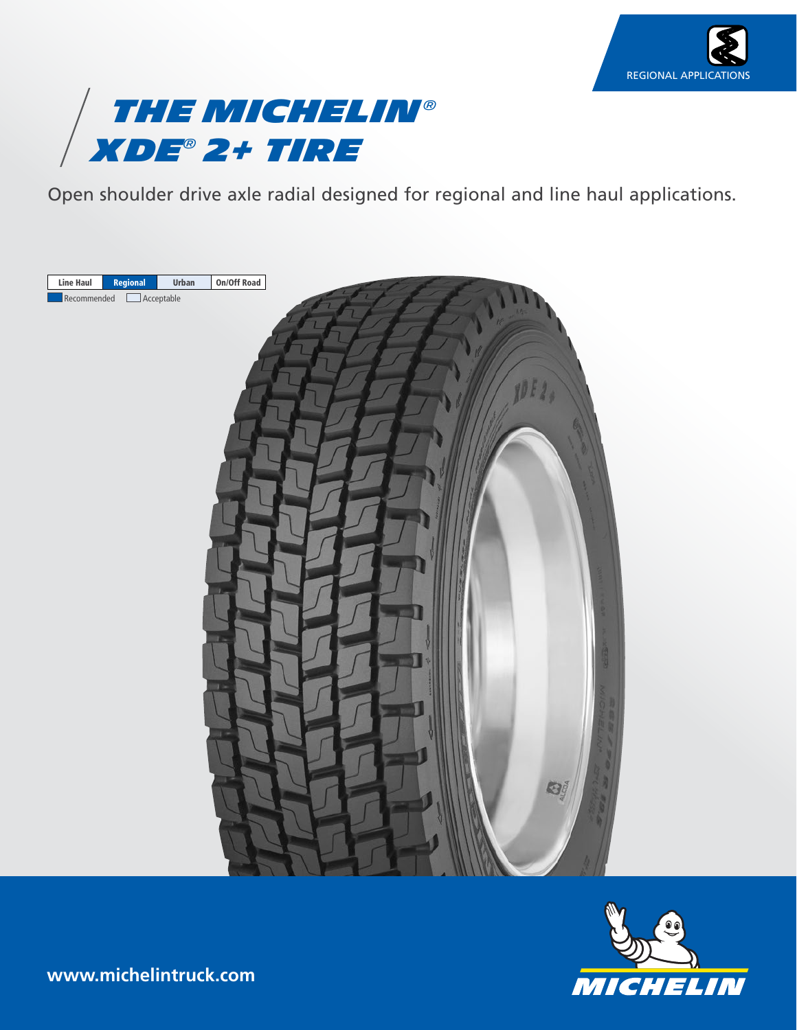



Open shoulder drive axle radial designed for regional and line haul applications.





**www.michelintruck.com**